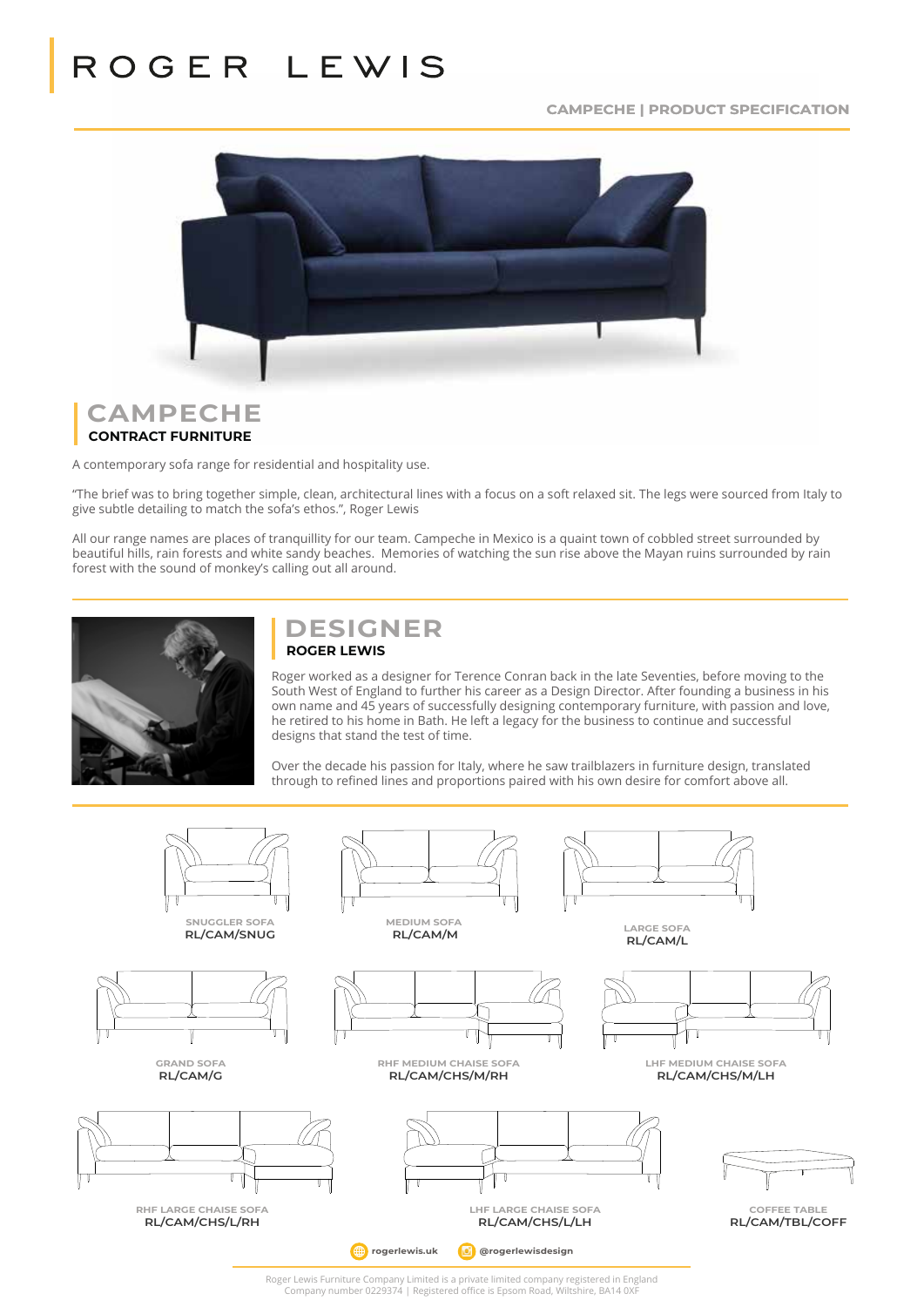**CAMPECHE | PRODUCT SPECIFICATION**



### **CAMPECHE CONTRACT FURNITURE**

A contemporary sofa range for residential and hospitality use.

143 cm

143 cm

"The brief was to bring together simple, clean, architectural lines with a focus on a soft relaxed sit. The legs were sourced from Italy to give subtle detailing to match the sofa's ethos.", Roger Lewis

All our range names are places of tranquillity for our team. Campeche in Mexico is a quaint town of cobbled street surrounded by beautiful hills, rain forests and white sandy beaches. Memories of watching the sun rise above the Mayan ruins surrounded by rain forest with the sound of monkey's calling out all around.

192 cm

192 cm



### **DESIGNER ROGER LEWIS**

Roger worked as a designer for Terence Conran back in the late Seventies, before moving to the Roger worked as a designer for Terence Conran back in the late Seventies, before moving to the South West of England to further his career as a Design Director. After founding a business in his own name and 45 years of successfully designing contemporary furniture, with passion and love, the retired to his home in Bath. He left a legacy for the business to continue and successful designs that stand the test of time.

> Over the decade his passion for Italy, where he saw trailblazers in furniture design, translated through to refined lines and proportions paired with his own desire for comfort above all.

> > 216 cm

216 cm



Roger Lewis Furniture Company Limited is a private limited company registered in England<br>Company number 0229374 | Registered office is Epsom Road, Wiltshire, BA14 0XF red in England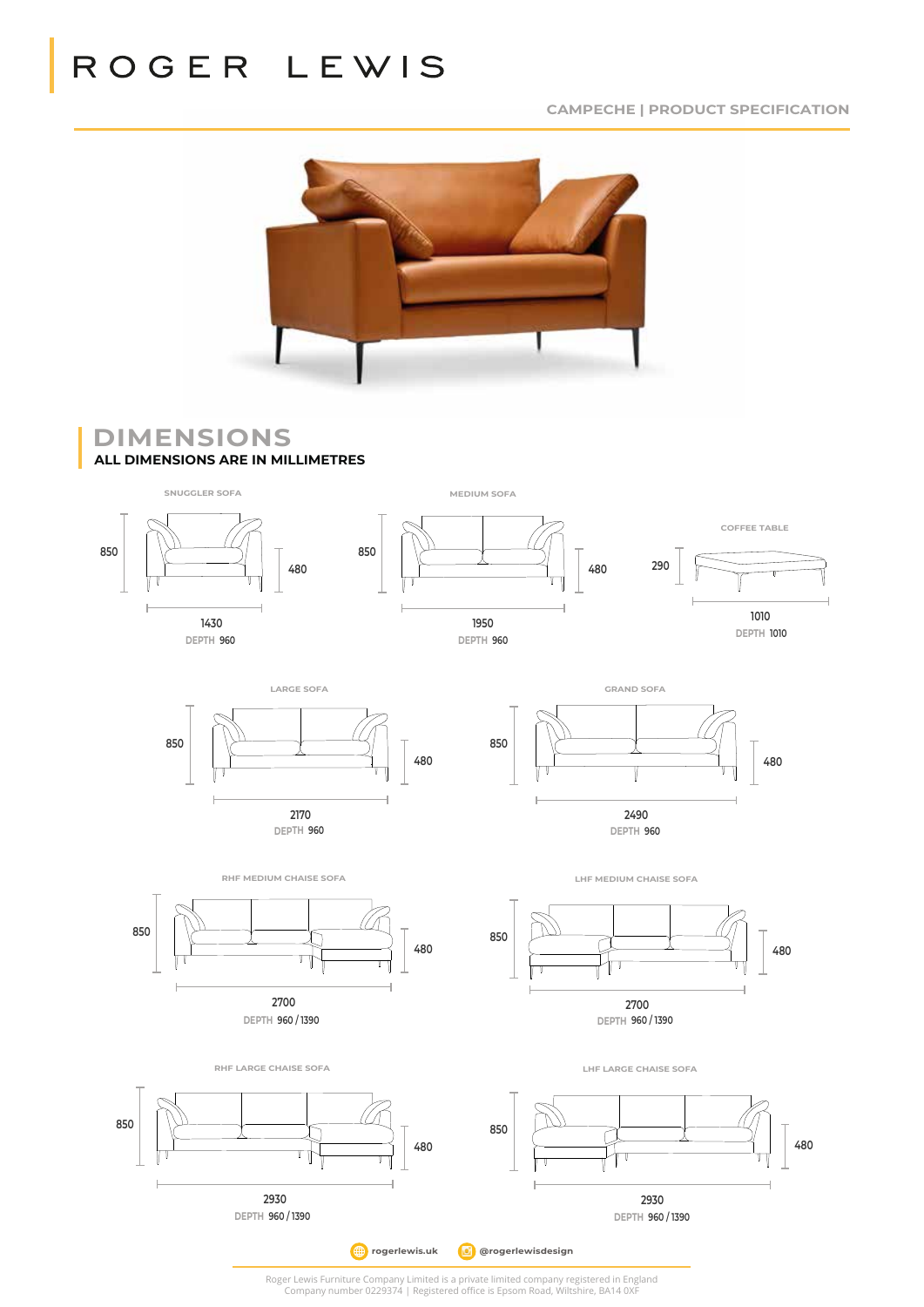# ROGER LEWIS

**CAMPECHE | PRODUCT SPECIFICATION**



DIMENSIONS **ALL DIMENSIONS ARE IN MILLIMETRES** 94 cm and beautiful design features simple lines and great components and great comfort, as well as  $\alpha$ 

Snuggler Medium Sofa Large Sofa Large Sofa Large Sofa Large Sofa Large Sofa Large Sofa Large Sofa Large Sofa L



**DEPTH 960 2490**

 $\overline{\phantom{a}}$  o  $\overline{\phantom{a}}$  and  $\overline{\phantom{a}}$  and  $\overline{\phantom{a}}$  snugglered  $\overline{\phantom{a}}$  snugglered  $\overline{\phantom{a}}$  snugglered  $\overline{\phantom{a}}$  snugglered  $\overline{\phantom{a}}$  snugglered  $\overline{\phantom{a}}$  snugglered  $\overline{\phantom{a}}$  snugglered  $\overline{\phantom{a}}$  sn

LHF MEDIUM CHAISE SOFA





**DEPTH 960** 

RHF MEDIUM CHAISE SOFA

 $\overline{\phantom{a}}$ 

Armpads: duck feather. Cover: Fixed cover, fabric and leather.  $F_{230}$ 38 cm Footstool Frame Construction: Sustainable seasoned hardwoods birch and beech. Structural joints are glued Suspension: Elasticated webbing, interwoven by hand front to back, side to side and top to bottom. **DEPTH 960 / 1390**   $\overline{a}$  $\overline{\phantom{a}}$ f chaise 136 cm <sup>o</sup> Depth  $\sim$ 82 cm RHF/LHF Large Chaise Sofa **850 2930 480**

Cushion Filling: Seats: combustion modified high resilient foam. Backs: hollow fill fibre. Backs: hollow fill fibre. LHF LARGE CHAISE SOFA



*D* @rogerlewisdesign  $\bigoplus$  rogerlewis.uk Roger Lewis Furniture Company Limited is a private limited company registered in Fogland Suspension: Elasticated webbing, interwoven by hand front to back, side to side and top to bottom.

Roger Lewis Furniture Company Limited is a private limited company registered in England Company number 0229374 | Registered office is Epsom Road, Wiltshire, BA14 0XF oer 0229374 | Registered office is Epsom Road, Wiltshire, BA14 0XF Company number 0229374 | Registered office is Epsom Road. Wilts